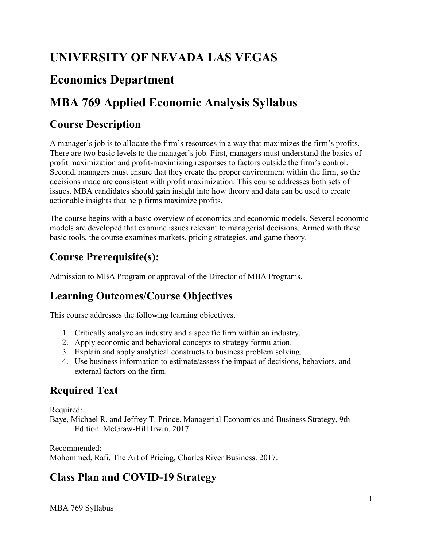# **UNIVERSITY OF NEVADA LAS VEGAS**

# **Economics Department**

# **MBA 769 Applied Economic Analysis Syllabus**

### **Course Description**

A manager's job is to allocate the firm's resources in a way that maximizes the firm's profits. There are two basic levels to the manager's job. First, managers must understand the basics of profit maximization and profit-maximizing responses to factors outside the firm's control. Second, managers must ensure that they create the proper environment within the firm, so the decisions made are consistent with profit maximization. This course addresses both sets of issues. MBA candidates should gain insight into how theory and data can be used to create actionable insights that help firms maximize profits.

The course begins with a basic overview of economics and economic models. Several economic models are developed that examine issues relevant to managerial decisions. Armed with these basic tools, the course examines markets, pricing strategies, and game theory.

### **Course Prerequisite(s):**

Admission to MBA Program or approval of the Director of MBA Programs.

#### **Learning Outcomes/Course Objectives**

This course addresses the following learning objectives.

- 1. Critically analyze an industry and a specific firm within an industry.
- 2. Apply economic and behavioral concepts to strategy formulation.
- 3. Explain and apply analytical constructs to business problem solving.
- 4. Use business information to estimate/assess the impact of decisions, behaviors, and external factors on the firm.

# **Required Text**

Required:

Baye, Michael R. and Jeffrey T. Prince. Managerial Economics and Business Strategy, 9th Edition. McGraw-Hill Irwin. 2017.

Recommended: Mohommed, Rafi. The Art of Pricing, Charles River Business. 2017.

### **Class Plan and COVID-19 Strategy**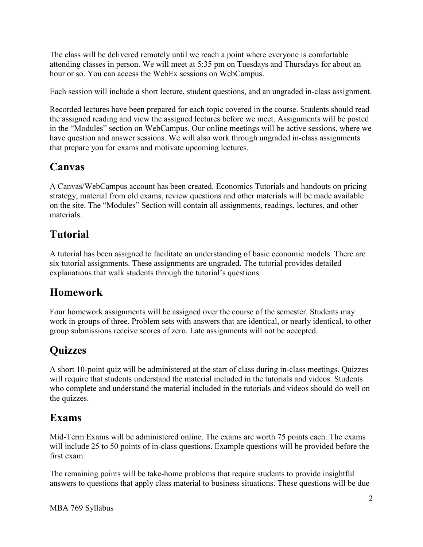The class will be delivered remotely until we reach a point where everyone is comfortable attending classes in person. We will meet at 5:35 pm on Tuesdays and Thursdays for about an hour or so. You can access the WebEx sessions on WebCampus.

Each session will include a short lecture, student questions, and an ungraded in-class assignment.

 that prepare you for exams and motivate upcoming lectures. Recorded lectures have been prepared for each topic covered in the course. Students should read the assigned reading and view the assigned lectures before we meet. Assignments will be posted in the "Modules" section on WebCampus. Our online meetings will be active sessions, where we have question and answer sessions. We will also work through ungraded in-class assignments

### **Canvas**

A Canvas/WebCampus account has been created. Economics Tutorials and handouts on pricing strategy, material from old exams, review questions and other materials will be made available on the site. The "Modules" Section will contain all assignments, readings, lectures, and other materials.

# **Tutorial**

 explanations that walk students through the tutorial's questions. A tutorial has been assigned to facilitate an understanding of basic economic models. There are six tutorial assignments. These assignments are ungraded. The tutorial provides detailed

### **Homework**

Four homework assignments will be assigned over the course of the semester. Students may work in groups of three. Problem sets with answers that are identical, or nearly identical, to other group submissions receive scores of zero. Late assignments will not be accepted.

# **Quizzes**

A short 10-point quiz will be administered at the start of class during in-class meetings. Quizzes will require that students understand the material included in the tutorials and videos. Students who complete and understand the material included in the tutorials and videos should do well on the quizzes.

#### **Exams**

 Mid-Term Exams will be administered online. The exams are worth 75 points each. The exams will include 25 to 50 points of in-class questions. Example questions will be provided before the first exam.

The remaining points will be take-home problems that require students to provide insightful answers to questions that apply class material to business situations. These questions will be due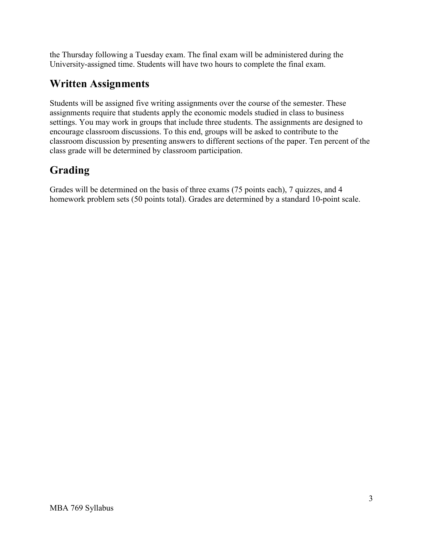the Thursday following a Tuesday exam. The final exam will be administered during the University-assigned time. Students will have two hours to complete the final exam.

### **Written Assignments**

Students will be assigned five writing assignments over the course of the semester. These assignments require that students apply the economic models studied in class to business settings. You may work in groups that include three students. The assignments are designed to encourage classroom discussions. To this end, groups will be asked to contribute to the classroom discussion by presenting answers to different sections of the paper. Ten percent of the class grade will be determined by classroom participation.

# **Grading**

Grades will be determined on the basis of three exams (75 points each), 7 quizzes, and 4 homework problem sets (50 points total). Grades are determined by a standard 10-point scale.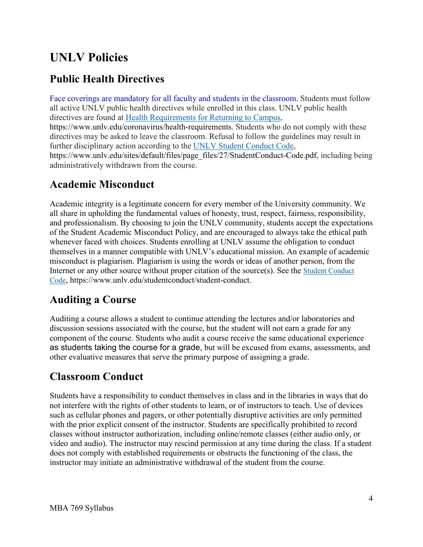# **UNLV Policies**

### **Public Health Directives**

directives are found at **Health Requirements for Returning to Campus**, Face coverings are mandatory for all faculty and students in the classroom. Students must follow all active UNLV public health directives while enrolled in this class. UNLV public health <https://www.unlv.edu/coronavirus/health-requirements>. Students who do not comply with these directives may be asked to leave the classroom. Refusal to follow the guidelines may result in further disciplinary action according to the [UNLV Student Conduct Code,](https://www.unlv.edu/sites/default/files/page_files/27/StudentConduct-Code.pdf) [https://www.unlv.edu/sites/default/files/page\\_files/27/StudentConduct-Code.pdf](https://www.unlv.edu/sites/default/files/page_files/27/StudentConduct-Code.pdf), including being administratively withdrawn from the course.

#### **Academic Misconduct**

Academic integrity is a legitimate concern for every member of the University community. We all share in upholding the fundamental values of honesty, trust, respect, fairness, responsibility, and professionalism. By choosing to join the UNLV community, students accept the expectations of the Student Academic Misconduct Policy, and are encouraged to always take the ethical path whenever faced with choices. Students enrolling at UNLV assume the obligation to conduct themselves in a manner compatible with UNLV's educational mission. An example of academic misconduct is plagiarism. Plagiarism is using the words or ideas of another person, from the Internet or any other source without proper citation of the source(s). See the [Student Conduct](https://www.unlv.edu/sites/default/files/page_files/27/StudentConduct-Code.pdf)  [Code,](https://www.unlv.edu/sites/default/files/page_files/27/StudentConduct-Code.pdf)<https://www.unlv.edu/studentconduct/student-conduct>.

### **Auditing a Course**

 discussion sessions associated with the course, but the student will not earn a grade for any other evaluative measures that serve the primary purpose of assigning a grade. Auditing a course allows a student to continue attending the lectures and/or laboratories and component of the course. Students who audit a course receive the same educational experience as students taking the course for a grade, but will be excused from exams, assessments, and

#### **Classroom Conduct**

 video and audio). The instructor may rescind permission at any time during the class. If a student Students have a responsibility to conduct themselves in class and in the libraries in ways that do not interfere with the rights of other students to learn, or of instructors to teach. Use of devices such as cellular phones and pagers, or other potentially disruptive activities are only permitted with the prior explicit consent of the instructor. Students are specifically prohibited to record classes without instructor authorization, including online/remote classes (either audio only, or does not comply with established requirements or obstructs the functioning of the class, the instructor may initiate an administrative withdrawal of the student from the course.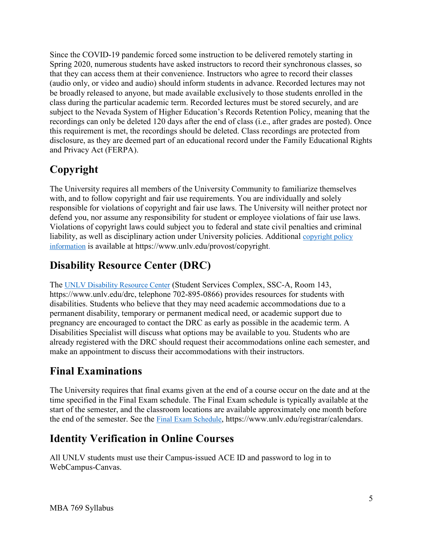Since the COVID-19 pandemic forced some instruction to be delivered remotely starting in Spring 2020, numerous students have asked instructors to record their synchronous classes, so that they can access them at their convenience. Instructors who agree to record their classes (audio only, or video and audio) should inform students in advance. Recorded lectures may not be broadly released to anyone, but made available exclusively to those students enrolled in the class during the particular academic term. Recorded lectures must be stored securely, and are subject to the Nevada System of Higher Education's Records Retention Policy, meaning that the recordings can only be deleted 120 days after the end of class (i.e., after grades are posted). Once this requirement is met, the recordings should be deleted. Class recordings are protected from disclosure, as they are deemed part of an educational record under the Family Educational Rights and Privacy Act (FERPA).

# **Copyright**

liability, as well as disciplinary action under University policies. Additional copyright policy The University requires all members of the University Community to familiarize themselves with, and to follow copyright and fair use requirements. You are individually and solely responsible for violations of copyright and fair use laws. The University will neither protect nor defend you, nor assume any responsibility for student or employee violations of fair use laws. Violations of copyright laws could subject you to federal and state civil penalties and criminal [information](http://www.unlv.edu/provost/copyright) is available at [https://www.unlv.edu/provost/copyright.](https://www.unlv.edu/provost/copyright)

# **Disability Resource Center (DRC)**

The **UNLV Disability Resource Center** (Student Services Complex, SSC-A, Room 143, [https://www.unlv.edu/drc,](https://www.unlv.edu/drc) telephone 702-895-0866) provides resources for students with disabilities. Students who believe that they may need academic accommodations due to a permanent disability, temporary or permanent medical need, or academic support due to pregnancy are encouraged to contact the DRC as early as possible in the academic term. A Disabilities Specialist will discuss what options may be available to you. Students who are already registered with the DRC should request their accommodations online each semester, and make an appointment to discuss their accommodations with their instructors.

# **Final Examinations**

The University requires that final exams given at the end of a course occur on the date and at the time specified in the Final Exam schedule. The Final Exam schedule is typically available at the start of the semester, and the classroom locations are available approximately one month before the end of the semester. See the [Final Exam Schedule,](https://www.unlv.edu/registrar/calendars) [https://www.unlv.edu/registrar/calendars.](https://www.unlv.edu/registrar/calendars)

# **Identity Verification in Online Courses**

All UNLV students must use their Campus-issued ACE ID and password to log in to WebCampus-Canvas.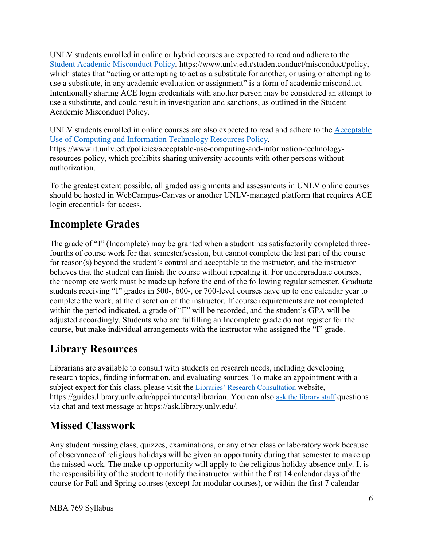Intentionally sharing ACE login credentials with another person may be considered an attempt to UNLV students enrolled in online or hybrid courses are expected to read and adhere to the [Student Academic Misconduct Policy,](https://www.unlv.edu/studentconduct/misconduct/policy) [https://www.unlv.edu/studentconduct/misconduct/policy,](https://www.unlv.edu/studentconduct/misconduct/policy) which states that "acting or attempting to act as a substitute for another, or using or attempting to use a substitute, in any academic evaluation or assignment" is a form of academic misconduct. use a substitute, and could result in investigation and sanctions, as outlined in the Student Academic Misconduct Policy.

UNLV students enrolled in online courses are also expected to read and adhere to the [Acceptable](https://www.it.unlv.edu/policies/acceptable-use-computing-and-information-technology-resources-policy)  [Use of Computing and Information Technology Resources Policy,](https://www.it.unlv.edu/policies/acceptable-use-computing-and-information-technology-resources-policy) <https://www.it.unlv.edu/policies/acceptable-use-computing-and-information-technology>resources-policy, which prohibits sharing university accounts with other persons without authorization.

To the greatest extent possible, all graded assignments and assessments in UNLV online courses should be hosted in WebCampus-Canvas or another UNLV-managed platform that requires ACE login credentials for access.

# **Incomplete Grades**

 students receiving "I" grades in 500-, 600-, or 700-level courses have up to one calendar year to within the period indicated, a grade of "F" will be recorded, and the student's GPA will be course, but make individual arrangements with the instructor who assigned the "I" grade. The grade of "I" (Incomplete) may be granted when a student has satisfactorily completed threefourths of course work for that semester/session, but cannot complete the last part of the course for reason(s) beyond the student's control and acceptable to the instructor, and the instructor believes that the student can finish the course without repeating it. For undergraduate courses, the incomplete work must be made up before the end of the following regular semester. Graduate complete the work, at the discretion of the instructor. If course requirements are not completed adjusted accordingly. Students who are fulfilling an Incomplete grade do not register for the

### **Library Resources**

<https://guides.library.unlv.edu/appointments/librarian>. You can also [ask the library staff](http://ask.library.unlv.edu/) questions Librarians are available to consult with students on research needs, including developing research topics, finding information, and evaluating sources. To make an appointment with a subject expert for this class, please visit the [Libraries' Research Consultation](http://guides.library.unlv.edu/appointments/librarian) website, via chat and text message at<https://ask.library.unlv.edu>/.

# **Missed Classwork**

Any student missing class, quizzes, examinations, or any other class or laboratory work because of observance of religious holidays will be given an opportunity during that semester to make up the missed work. The make-up opportunity will apply to the religious holiday absence only. It is the responsibility of the student to notify the instructor within the first 14 calendar days of the course for Fall and Spring courses (except for modular courses), or within the first 7 calendar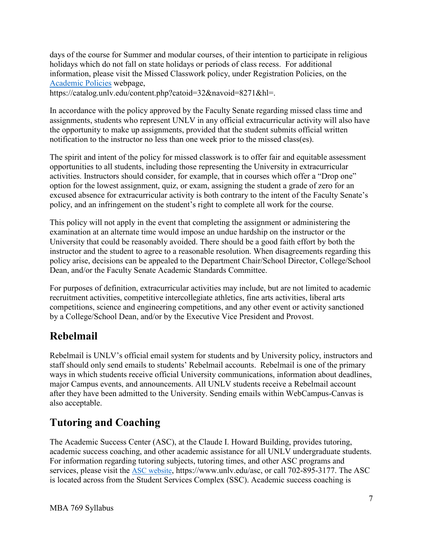[Academic Policies](https://catalog.unlv.edu/content.php?catoid=32&navoid=8271&hl=) webpage, days of the course for Summer and modular courses, of their intention to participate in religious holidays which do not fall on state holidays or periods of class recess. For additional information, please visit the Missed Classwork policy, under Registration Policies, on the

<https://catalog.unlv.edu/content.php?catoid=32&navoid=8271&hl>=.

In accordance with the policy approved by the Faculty Senate regarding missed class time and assignments, students who represent UNLV in any official extracurricular activity will also have the opportunity to make up assignments, provided that the student submits official written notification to the instructor no less than one week prior to the missed class(es).

 The spirit and intent of the policy for missed classwork is to offer fair and equitable assessment activities. Instructors should consider, for example, that in courses which offer a "Drop one" opportunities to all students, including those representing the University in extracurricular option for the lowest assignment, quiz, or exam, assigning the student a grade of zero for an excused absence for extracurricular activity is both contrary to the intent of the Faculty Senate's policy, and an infringement on the student's right to complete all work for the course.

 instructor and the student to agree to a reasonable resolution. When disagreements regarding this This policy will not apply in the event that completing the assignment or administering the examination at an alternate time would impose an undue hardship on the instructor or the University that could be reasonably avoided. There should be a good faith effort by both the policy arise, decisions can be appealed to the Department Chair/School Director, College/School Dean, and/or the Faculty Senate Academic Standards Committee.

For purposes of definition, extracurricular activities may include, but are not limited to academic recruitment activities, competitive intercollegiate athletics, fine arts activities, liberal arts competitions, science and engineering competitions, and any other event or activity sanctioned by a College/School Dean, and/or by the Executive Vice President and Provost.

#### **Rebelmail**

 Rebelmail is UNLV's official email system for students and by University policy, instructors and staff should only send emails to students' Rebelmail accounts. Rebelmail is one of the primary ways in which students receive official University communications, information about deadlines, major Campus events, and announcements. All UNLV students receive a Rebelmail account after they have been admitted to the University. Sending emails within WebCampus-Canvas is also acceptable.

### **Tutoring and Coaching**

 The Academic Success Center (ASC), at the Claude I. Howard Building, provides tutoring, academic success coaching, and other academic assistance for all UNLV undergraduate students. For information regarding tutoring subjects, tutoring times, and other ASC programs and services, please visit the [ASC website,](https://www.unlv.edu/asc) <https://www.unlv.edu/asc>, or call 702-895-3177. The ASC is located across from the Student Services Complex (SSC). Academic success coaching is